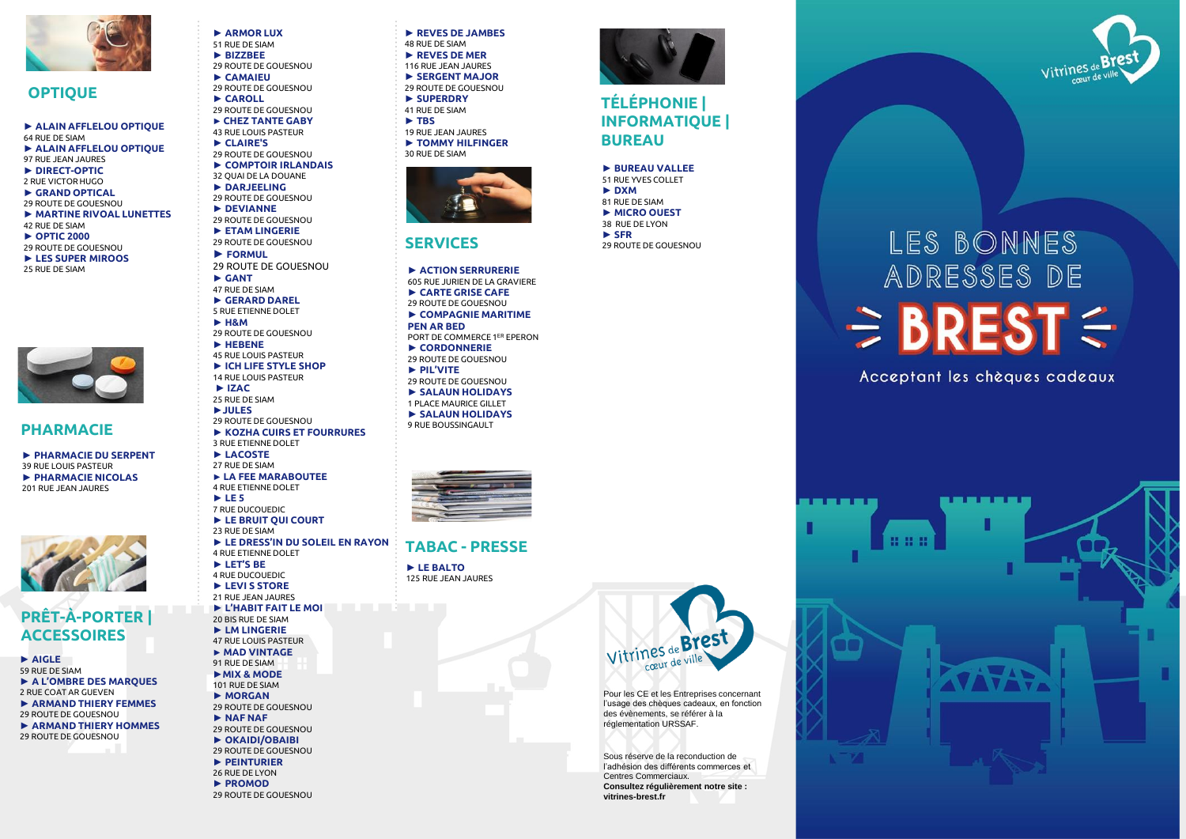

#### **OPTIQUE**

#### **► ALAIN AFFLELOU OPTIQUE**  64 RUE DE SIAM **► ALAIN AFFLELOU OPTIQUE**

- 97 RUE JEAN JAURES
- **► DIRECT-OPTIC** 2 RUE VICTOR HUGO
- **► GRAND OPTICAL**
- 29 ROUTE DE GOUESNOU
- **► MARTINE RIVOAL LUNETTES**  42 RUE DE SIAM
- **► OPTIC 2000**
- 29 ROUTE DE GOUESNOU
- **► LES SUPER MIROOS** 25 RUE DE SIAM



#### **PHARMACIE**

**► PHARMACIE DU SERPENT** 39 RUE LOUIS PASTEUR **► PHARMACIE NICOLAS** 201 RUE JEAN JAURES



# **PRÊT-À-PORTER | ACCESSOIRES**

**► AIGLE** 59 RUE DE SIAM **► A L'OMBRE DES MARQUES** 2 RUE COAT AR GUEVEN **► ARMAND THIERY FEMMES** 29 ROUTE DE GOUESNOU **► ARMAND THIERY HOMMES** 29 ROUTE DE GOUESNOU

**► ARMOR LUX**  51 RUE DE SIAM **► BIZZBEE** 29 ROUTE DE GOUESNOU **► CAMAIEU**  29 ROUTE DE GOUESNOU **► CAROLL**  29 ROUTE DE GOUESNOU **► CHEZ TANTE GABY** 43 RUE LOUIS PASTEUR **► CLAIRE'S**  29 ROUTE DE GOUESNOU **► COMPTOIR IRLANDAIS**  32 QUAI DE LA DOUANE **► DARJEELING**  29 ROUTE DE GOUESNOU **► DEVIANNE**  29 ROUTE DE GOUESNOU **► ETAM LINGERIE** 29 ROUTE DE GOUESNOU **► FORMUL** 29 ROUTE DE GOUESNOU **► GANT** 47 RUE DE SIAM **► GERARD DAREL** 5 RUE ETIENNE DOLET **► H&M** 29 ROUTE DE GOUESNOU **► HEBENE**  45 RUE LOUIS PASTEUR **► ICH LIFE STYLE SHOP**  14 RUE LOUIS PASTEUR **► IZAC** 25 RUE DE SIAM **►JULES** 29 ROUTE DE GOUESNOU **► KOZHA CUIRS ET FOURRURES** 3 RUE ETIENNE DOLET **► LACOSTE** 27 RUE DE SIAM **► LA FEE MARABOUTEE** 4 RUE ETIENNE DOLET **► LE 5** 7 RUE DUCOUEDIC **► LE BRUIT QUI COURT** 23 RUE DE SIAM **► LE DRESS'IN DU SOLEIL EN RAYON** 4 RUE ETIENNE DOLET **► LET'S BE** 4 RUE DUCOUEDIC **► LEVI S STORE**  21 RUE JEAN JAURES **► L'HABIT FAIT LE MOI** 20 BIS RUE DE SIAM **► LM LINGERIE**  47 RUE LOUIS PASTEUR **► MAD VINTAGE** 91 RUE DE SIAM **►MIX & MODE** 101 RUE DE SIAM **► MORGAN** 29 ROUTE DE GOUESNOU **► NAF NAF** 29 ROUTE DE GOUESNOU **► OKAIDI/OBAIBI** 29 ROUTE DE GOUESNOU **► PEINTURIER** 26 RUE DE LYON **► PROMOD**

29 ROUTE DE GOUESNOU

**► REVES DE JAMBES** 48 RUE DE SIAM **► REVES DE MER** 116 RUE JEAN JAURES **► SERGENT MAJOR**  29 ROUTE DE GOUESNOU **► SUPERDRY** 41 RUE DE SIAM **► TBS** 19 RUE JEAN JAURES **► TOMMY HILFINGER**  30 RUE DE SIAM



#### **SERVICES**

**► ACTION SERRURERIE** 605 RUE JURIEN DE LA GRAVIERE **► CARTE GRISE CAFE** 29 ROUTE DE GOUESNOU **► COMPAGNIE MARITIME PEN AR BED** PORT DE COMMERCE 1ER EPERON **► CORDONNERIE** 29 ROUTE DE GOUESNOU **► PIL'VITE** 29 ROUTE DE GOUESNOU **► SALAUN HOLIDAYS** 1 PLACE MAURICE GILLET **► SALAUN HOLIDAYS** 9 RUE BOUSSINGAULT



#### **TABAC - PRESSE**

**► LE BALTO** 125 RUE JEAN JAURES



Pour les CE et les Entreprises concernant l'usage des chèques cadeaux, en fonction des évènements, se référer à la réglementation URSSAF.

Sous réserve de la reconduction de l'adhésion des différents commerces et Centres Commerciaux. **Consultez régulièrement notre site : vitrines-brest.fr**



## **TÉLÉPHONIE | INFORMATIQUE | BUREAU**

#### **► BUREAU VALLEE**

51 RUE YVES COLLET **► DXM** 81 RUE DE SIAM **► MICRO OUEST** 38 RUE DE LYON **► SFR** 

29 ROUTE DE GOUESNOU

vitrines

# LES BONNES ADRESSES DE  $\Rightarrow$  BREST $\leq$

Acceptant les chèques cadeaux